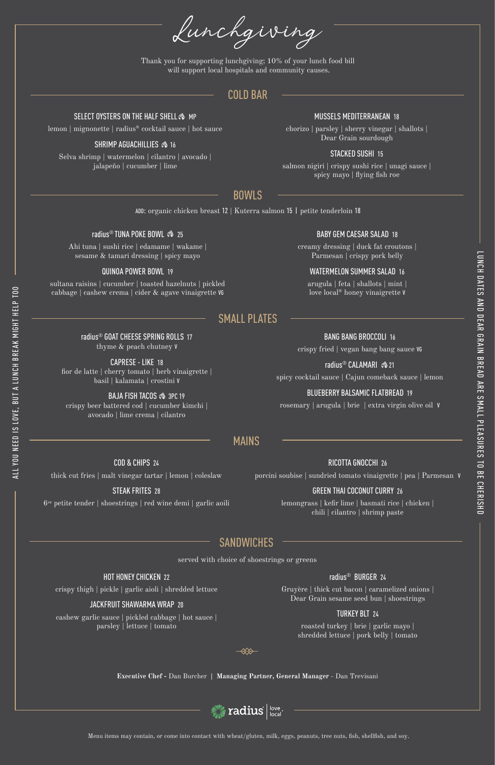ADD: organic chicken breast 12 | Kuterra salmon 15 | petite tenderloin 18

### radius<sup>®</sup> TUNA POKE BOWL �� 25

Ahi tuna | sushi rice | edamame | wakame | sesame & tamari dressing | spicy mayo

#### QUINOA POWER BOWL 19

sultana raisins | cucumber | toasted hazelnuts | pickled cabbage | cashew crema | cider & agave vinaigrette VG

## BABY GEM CAESAR SALAD 18

creamy dressing | duck fat croutons | Parmesan | crispy pork belly

#### WATERMELON SUMMER SALAD 16

arugula | feta | shallots | mint | love local® honey vinaigrette V

Lunchgiving

#### **Executive Chef -** Dan Burcher **| Managing Partner, General Manager** - Dan Trevisani



lemon | mignonette | radius® cocktail sauce | hot sauce

#### SHRIMP AGUACHILLIES  $\hat{\mathfrak{B}}$  16

Selva shrimp | watermelon | cilantro | avocado | jalapeño | cucumber | lime

#### MUSSELS MEDITERRANEAN 18

chorizo | parsley | sherry vinegar | shallots | Dear Grain sourdough

#### STACKED SUSHI 15

salmon nigiri | crispy sushi rice | unagi sauce | spicy mayo | flying fish roe

COD & CHIPS 24

thick cut fries | malt vinegar tartar | lemon | coleslaw

### STEAK FRITES 28

6oz petite tender | shoestrings | red wine demi | garlic aoili

#### BAJA FISH TACOS  $\hat{\infty}$  3PC 19 crispy beer battered cod | cucumber kimchi |

RICOTTA GNOCCHI 26

porcini soubise | sundried tomato vinaigrette | pea | Parmesan V

### GREEN THAI COCONUT CURRY 26

lemongrass | kefir lime | basmati rice | chicken | chili | cilantro | shrimp paste

## HOT HONEY CHICKEN 22 crispy thigh | pickle | garlic aioli | shredded lettuce

#### JACKFRUIT SHAWARMA WRAP 20

cashew garlic sauce | pickled cabbage | hot sauce | parsley | lettuce | tomato

#### radius® BURGER 24

Gruyère | thick cut bacon | caramelized onions | Dear Grain sesame seed bun | shoestrings

#### TURKEY BLT 24

roasted turkey | brie | garlic mayo | shredded lettuce | pork belly | tomato

⋘

COLD BAR

#### SELECT OYSTERS ON THE HALF SHELL  $\hat{\mathfrak{G}}$  mp

## BOWLS

Menu items may contain, or come into contact with wheat/gluten, milk, eggs, peanuts, tree nuts, fish, shellfish, and soy.

ALL YOU NEED IS LOVE, BUT A LUNCH BREAK MIGHT HELP TOO

ALL YOU NEED IS LOVE, BUT A LUNCH BREAK MIGHT HELP TOO

# MAINS

# SANDWICHES

radius® GOAT CHEESE SPRING ROLLS 17 thyme & peach chutney V

CAPRESE - LIKE 18

fior de latte | cherry tomato | herb vinaigrette | basil | kalamata | crostini V

avocado | lime crema | cilantro

### BANG BANG BROCCOLI 16

crispy fried | vegan bang bang sauce VG

### radius<sup>®</sup> CALAMARI �� 21

spicy cocktail sauce | Cajun comeback sauce | lemon

### BLUEBERRY BALSAMIC FLATBREAD 19

rosemary | arugula | brie | extra virgin olive oil V

# SMALL PLATES

served with choice of shoestrings or greens

Thank you for supporting lunchgiving; 10% of your lunch food bill will support local hospitals and community causes.